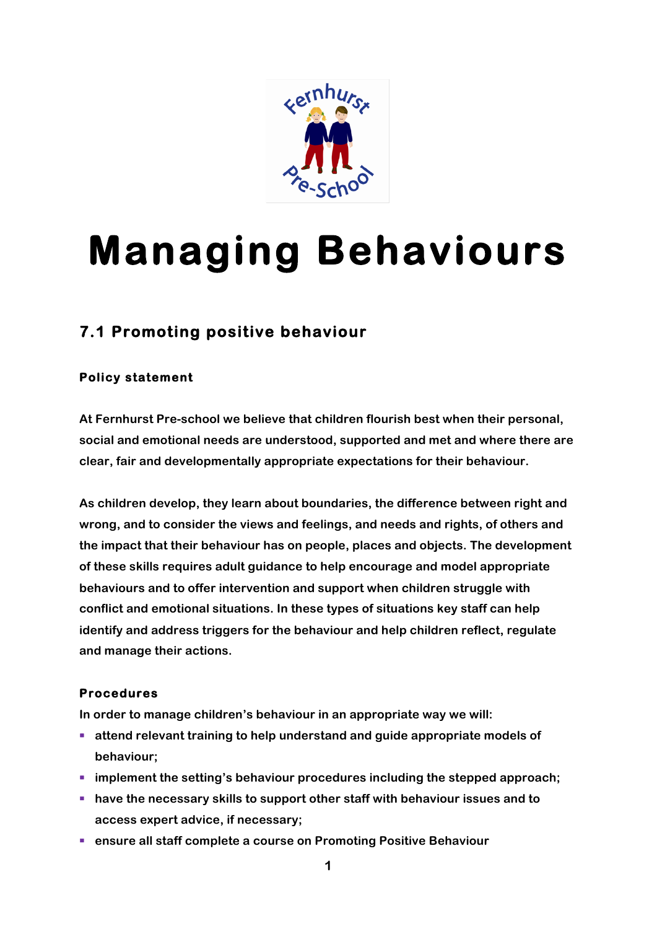

# **Managing Behaviours**

# **7.1 Promoting positive behaviour**

# **Policy statement**

**At Fernhurst Pre-school we believe that children flourish best when their personal, social and emotional needs are understood, supported and met and where there are clear, fair and developmentally appropriate expectations for their behaviour.**

**As children develop, they learn about boundaries, the difference between right and wrong, and to consider the views and feelings, and needs and rights, of others and the impact that their behaviour has on people, places and objects. The development of these skills requires adult guidance to help encourage and model appropriate behaviours and to offer intervention and support when children struggle with conflict and emotional situations. In these types of situations key staff can help identify and address triggers for the behaviour and help children reflect, regulate and manage their actions.**

# **Procedures**

**In order to manage children's behaviour in an appropriate way we will:**

- attend relevant training to help understand and guide appropriate models of **behaviour;**
- implement the setting's behaviour procedures including the stepped approach;
- have the necessary skills to support other staff with behaviour issues and to **access expert advice, if necessary;**
- ensure all staff complete a course on Promoting Positive Behaviour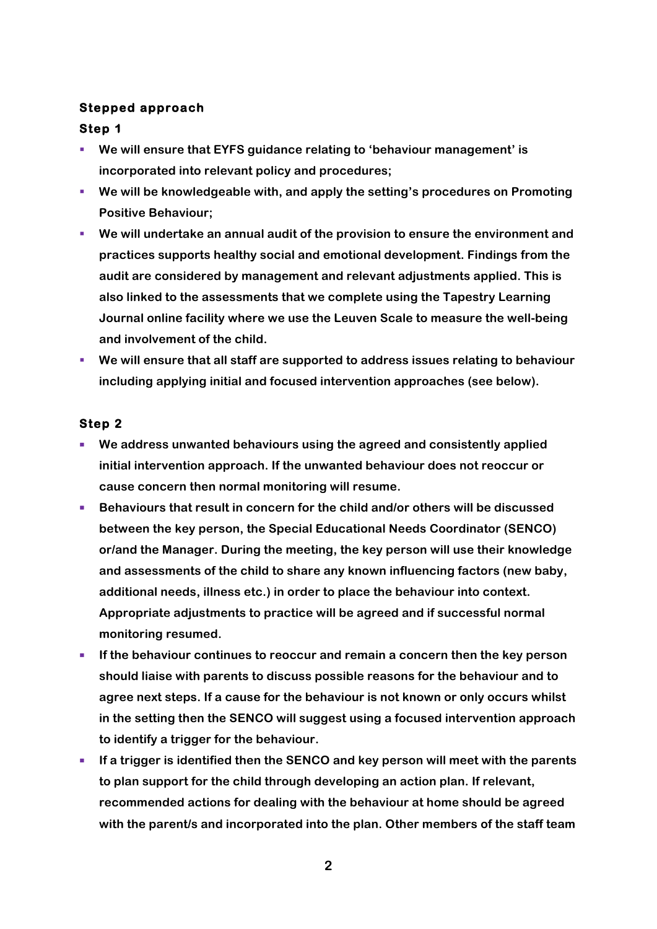#### **Stepped approach**

#### **Step 1**

- § **We will ensure that EYFS guidance relating to 'behaviour management' is incorporated into relevant policy and procedures;**
- § **We will be knowledgeable with, and apply the setting's procedures on Promoting Positive Behaviour;**
- § **We will undertake an annual audit of the provision to ensure the environment and practices supports healthy social and emotional development. Findings from the audit are considered by management and relevant adjustments applied. This is also linked to the assessments that we complete using the Tapestry Learning Journal online facility where we use the Leuven Scale to measure the well-being and involvement of the child.**
- We will ensure that all staff are supported to address issues relating to behaviour **including applying initial and focused intervention approaches (see below).**

# **Step 2**

- We address unwanted behaviours using the agreed and consistently applied **initial intervention approach. If the unwanted behaviour does not reoccur or cause concern then normal monitoring will resume.**
- Behaviours that result in concern for the child and/or others will be discussed **between the key person, the Special Educational Needs Coordinator (SENCO) or/and the Manager. During the meeting, the key person will use their knowledge and assessments of the child to share any known influencing factors (new baby, additional needs, illness etc.) in order to place the behaviour into context. Appropriate adjustments to practice will be agreed and if successful normal monitoring resumed.**
- **If the behaviour continues to reoccur and remain a concern then the key person should liaise with parents to discuss possible reasons for the behaviour and to agree next steps. If a cause for the behaviour is not known or only occurs whilst in the setting then the SENCO will suggest using a focused intervention approach to identify a trigger for the behaviour.**
- **If a trigger is identified then the SENCO and key person will meet with the parents to plan support for the child through developing an action plan. If relevant, recommended actions for dealing with the behaviour at home should be agreed with the parent/s and incorporated into the plan. Other members of the staff team**

**2**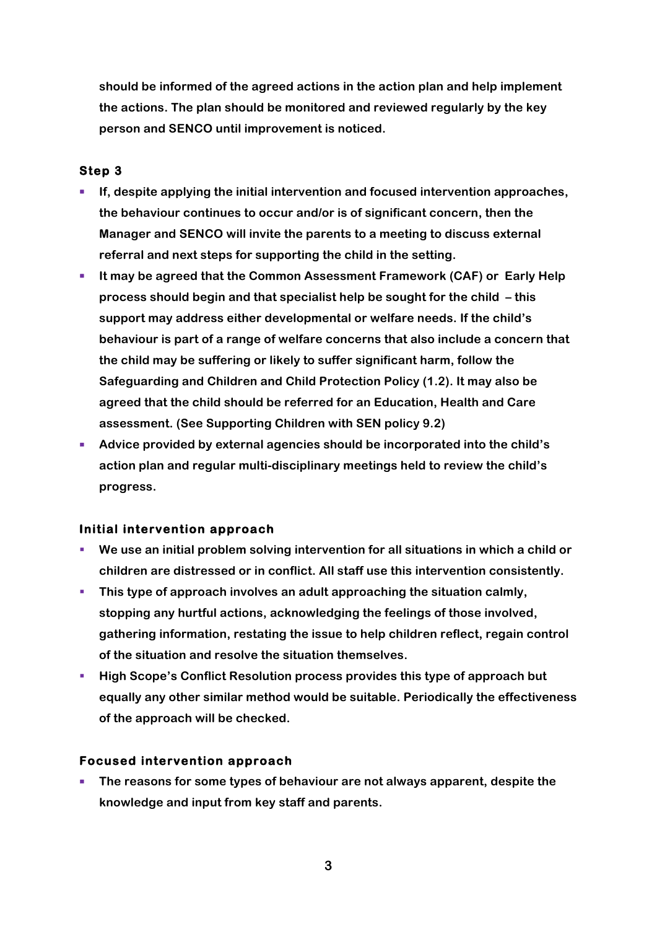**should be informed of the agreed actions in the action plan and help implement the actions. The plan should be monitored and reviewed regularly by the key person and SENCO until improvement is noticed.**

## **Step 3**

- **If, despite applying the initial intervention and focused intervention approaches, the behaviour continues to occur and/or is of significant concern, then the Manager and SENCO will invite the parents to a meeting to discuss external referral and next steps for supporting the child in the setting.**
- § **It may be agreed that the Common Assessment Framework (CAF) or Early Help process should begin and that specialist help be sought for the child – this support may address either developmental or welfare needs. If the child's behaviour is part of a range of welfare concerns that also include a concern that the child may be suffering or likely to suffer significant harm, follow the Safeguarding and Children and Child Protection Policy (1.2). It may also be agreed that the child should be referred for an Education, Health and Care assessment. (See Supporting Children with SEN policy 9.2)**
- § **Advice provided by external agencies should be incorporated into the child's action plan and regular multi-disciplinary meetings held to review the child's progress.**

#### **Initial intervention approach**

- § **We use an initial problem solving intervention for all situations in which a child or children are distressed or in conflict. All staff use this intervention consistently.**
- **This type of approach involves an adult approaching the situation calmly, stopping any hurtful actions, acknowledging the feelings of those involved, gathering information, restating the issue to help children reflect, regain control of the situation and resolve the situation themselves.**
- § **High Scope's Conflict Resolution process provides this type of approach but equally any other similar method would be suitable. Periodically the effectiveness of the approach will be checked.**

#### **Focused intervention approach**

■ The reasons for some types of behaviour are not always apparent, despite the **knowledge and input from key staff and parents.**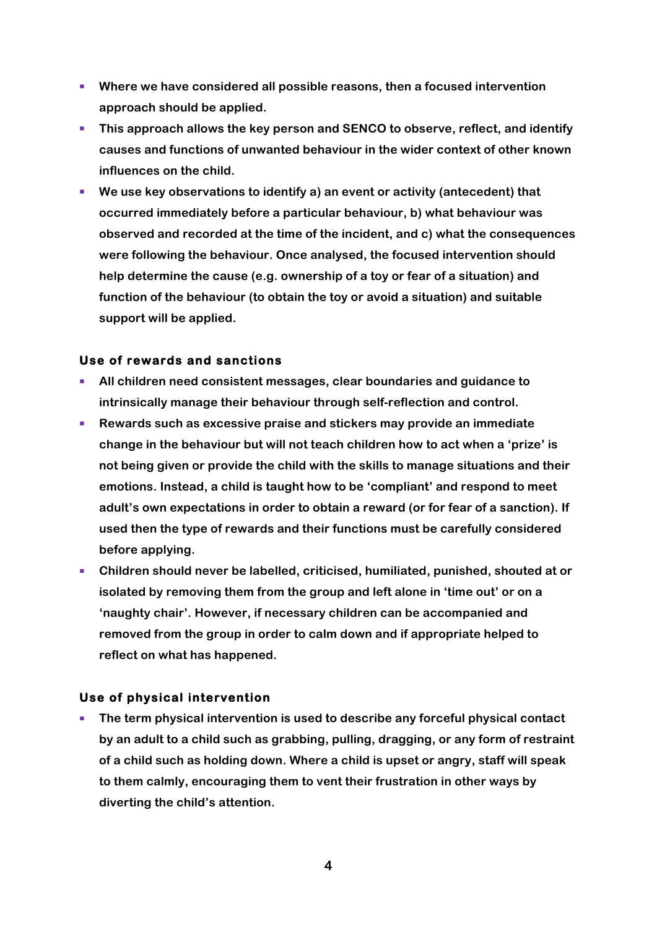- § **Where we have considered all possible reasons, then a focused intervention approach should be applied.**
- § **This approach allows the key person and SENCO to observe, reflect, and identify causes and functions of unwanted behaviour in the wider context of other known influences on the child.**
- We use key observations to identify a) an event or activity (antecedent) that **occurred immediately before a particular behaviour, b) what behaviour was observed and recorded at the time of the incident, and c) what the consequences were following the behaviour. Once analysed, the focused intervention should help determine the cause (e.g. ownership of a toy or fear of a situation) and function of the behaviour (to obtain the toy or avoid a situation) and suitable support will be applied.**

#### **Use of rewards and sanctions**

- § **All children need consistent messages, clear boundaries and guidance to intrinsically manage their behaviour through self-reflection and control.**
- § **Rewards such as excessive praise and stickers may provide an immediate change in the behaviour but will not teach children how to act when a 'prize' is not being given or provide the child with the skills to manage situations and their emotions. Instead, a child is taught how to be 'compliant' and respond to meet adult's own expectations in order to obtain a reward (or for fear of a sanction). If used then the type of rewards and their functions must be carefully considered before applying.**
- Children should never be labelled, criticised, humiliated, punished, shouted at or **isolated by removing them from the group and left alone in 'time out' or on a 'naughty chair'. However, if necessary children can be accompanied and removed from the group in order to calm down and if appropriate helped to reflect on what has happened.**

# **Use of physical intervention**

■ The term physical intervention is used to describe any forceful physical contact **by an adult to a child such as grabbing, pulling, dragging, or any form of restraint of a child such as holding down. Where a child is upset or angry, staff will speak to them calmly, encouraging them to vent their frustration in other ways by diverting the child's attention.**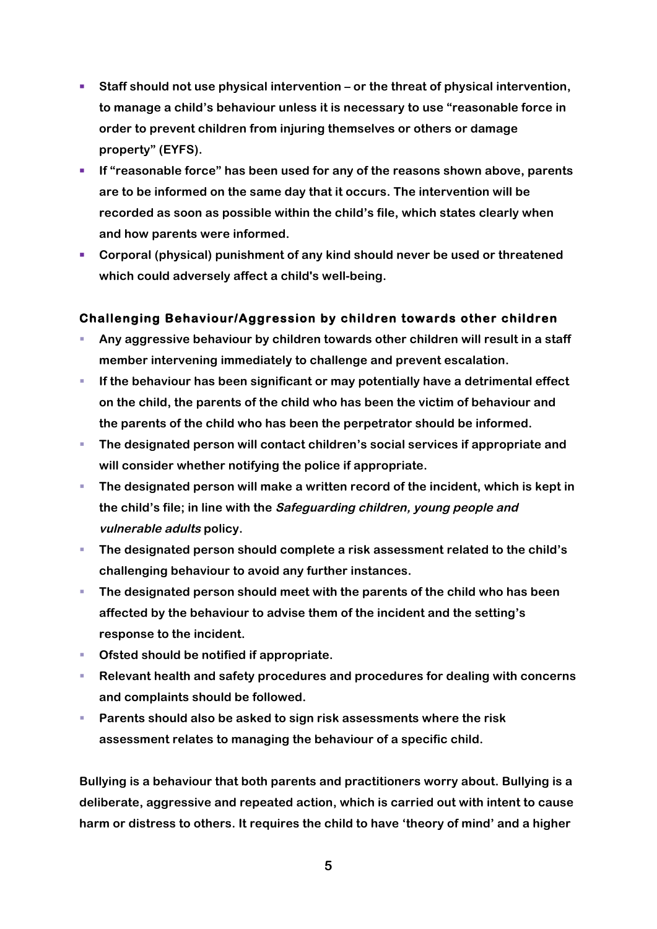- Staff should not use physical intervention or the threat of physical intervention, **to manage a child's behaviour unless it is necessary to use "reasonable force in order to prevent children from injuring themselves or others or damage property" (EYFS).**
- If "reasonable force" has been used for any of the reasons shown above, parents **are to be informed on the same day that it occurs. The intervention will be recorded as soon as possible within the child's file, which states clearly when and how parents were informed.**
- § **Corporal (physical) punishment of any kind should never be used or threatened which could adversely affect a child's well-being.**

# **Challenging Behaviour/Aggression by children towards other children**

- § **Any aggressive behaviour by children towards other children will result in a staff member intervening immediately to challenge and prevent escalation.**
- If the behaviour has been significant or may potentially have a detrimental effect **on the child, the parents of the child who has been the victim of behaviour and the parents of the child who has been the perpetrator should be informed.**
- The designated person will contact children's social services if appropriate and **will consider whether notifying the police if appropriate.**
- The designated person will make a written record of the incident, which is kept in **the child's file; in line with the Safeguarding children, young people and vulnerable adults policy.**
- § **The designated person should complete a risk assessment related to the child's challenging behaviour to avoid any further instances.**
- The designated person should meet with the parents of the child who has been **affected by the behaviour to advise them of the incident and the setting's response to the incident.**
- Ofsted should be notified if appropriate.
- Relevant health and safety procedures and procedures for dealing with concerns **and complaints should be followed.**
- § **Parents should also be asked to sign risk assessments where the risk assessment relates to managing the behaviour of a specific child.**

**Bullying is a behaviour that both parents and practitioners worry about. Bullying is a deliberate, aggressive and repeated action, which is carried out with intent to cause harm or distress to others. It requires the child to have 'theory of mind' and a higher**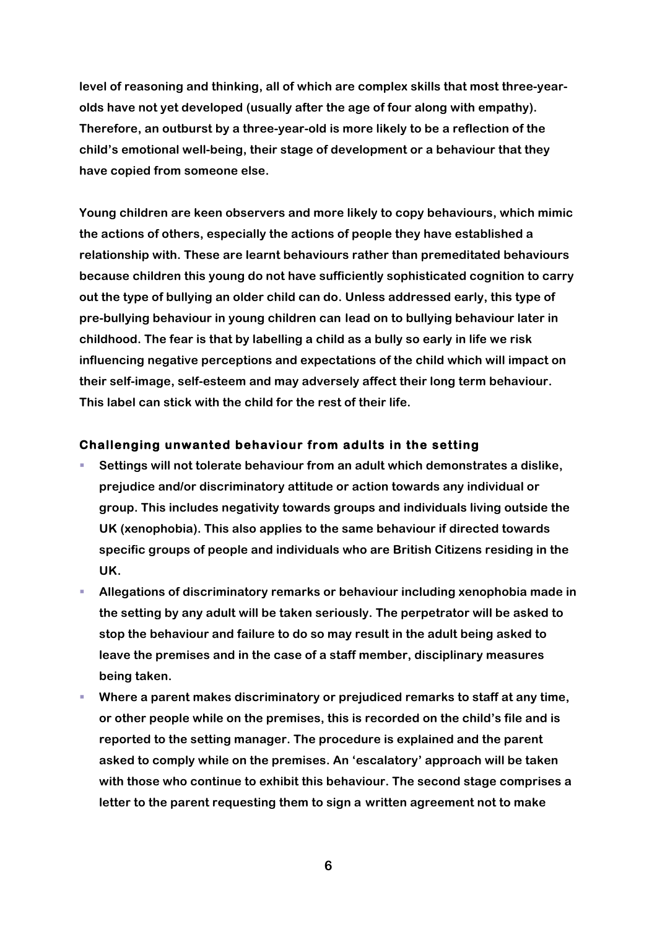**level of reasoning and thinking, all of which are complex skills that most three-yearolds have not yet developed (usually after the age of four along with empathy). Therefore, an outburst by a three-year-old is more likely to be a reflection of the child's emotional well-being, their stage of development or a behaviour that they have copied from someone else.**

**Young children are keen observers and more likely to copy behaviours, which mimic the actions of others, especially the actions of people they have established a relationship with. These are learnt behaviours rather than premeditated behaviours because children this young do not have sufficiently sophisticated cognition to carry out the type of bullying an older child can do. Unless addressed early, this type of pre-bullying behaviour in young children can lead on to bullying behaviour later in childhood. The fear is that by labelling a child as a bully so early in life we risk influencing negative perceptions and expectations of the child which will impact on their self-image, self-esteem and may adversely affect their long term behaviour. This label can stick with the child for the rest of their life.**

#### **Challenging unwanted behaviour from adults in the setting**

- § **Settings will not tolerate behaviour from an adult which demonstrates a dislike, prejudice and/or discriminatory attitude or action towards any individual or group. This includes negativity towards groups and individuals living outside the UK (xenophobia). This also applies to the same behaviour if directed towards specific groups of people and individuals who are British Citizens residing in the UK.**
- § **Allegations of discriminatory remarks or behaviour including xenophobia made in the setting by any adult will be taken seriously. The perpetrator will be asked to stop the behaviour and failure to do so may result in the adult being asked to leave the premises and in the case of a staff member, disciplinary measures being taken.**
- § **Where a parent makes discriminatory or prejudiced remarks to staff at any time, or other people while on the premises, this is recorded on the child's file and is reported to the setting manager. The procedure is explained and the parent asked to comply while on the premises. An 'escalatory' approach will be taken with those who continue to exhibit this behaviour. The second stage comprises a letter to the parent requesting them to sign a written agreement not to make**